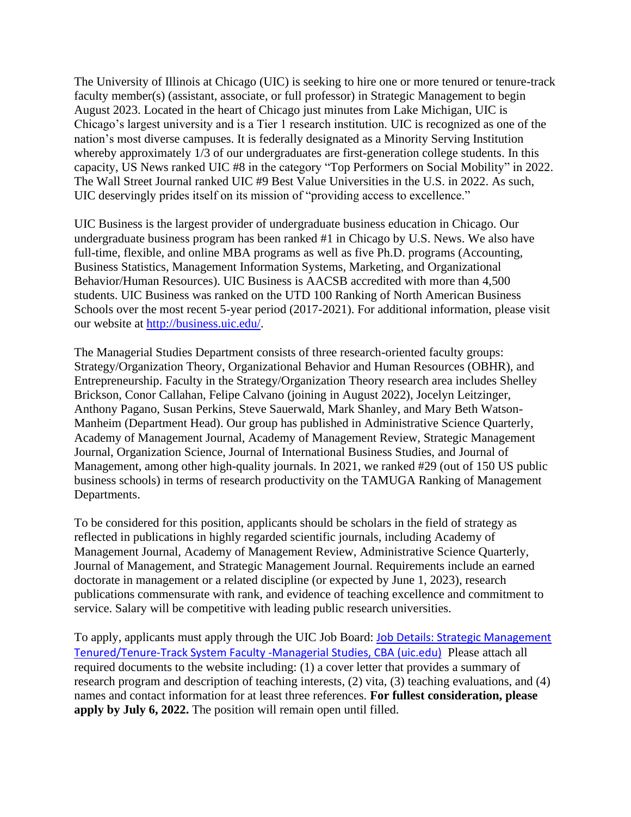The University of Illinois at Chicago (UIC) is seeking to hire one or more tenured or tenure-track faculty member(s) (assistant, associate, or full professor) in Strategic Management to begin August 2023. Located in the heart of Chicago just minutes from Lake Michigan, UIC is Chicago's largest university and is a Tier 1 research institution. UIC is recognized as one of the nation's most diverse campuses. It is federally designated as a Minority Serving Institution whereby approximately 1/3 of our undergraduates are first-generation college students. In this capacity, US News ranked UIC #8 in the category "Top Performers on Social Mobility" in 2022. The Wall Street Journal ranked UIC #9 Best Value Universities in the U.S. in 2022. As such, UIC deservingly prides itself on its mission of "providing access to excellence."

UIC Business is the largest provider of undergraduate business education in Chicago. Our undergraduate business program has been ranked #1 in Chicago by U.S. News. We also have full-time, flexible, and online MBA programs as well as five Ph.D. programs (Accounting, Business Statistics, Management Information Systems, Marketing, and Organizational Behavior/Human Resources). UIC Business is AACSB accredited with more than 4,500 students. UIC Business was ranked on the UTD 100 Ranking of North American Business Schools over the most recent 5-year period (2017-2021). For additional information, please visit our website at [http://business.uic.edu/.](http://business.uic.edu/)

The Managerial Studies Department consists of three research-oriented faculty groups: Strategy/Organization Theory, Organizational Behavior and Human Resources (OBHR), and Entrepreneurship. Faculty in the Strategy/Organization Theory research area includes Shelley Brickson, Conor Callahan, Felipe Calvano (joining in August 2022), Jocelyn Leitzinger, Anthony Pagano, Susan Perkins, Steve Sauerwald, Mark Shanley, and Mary Beth Watson-Manheim (Department Head). Our group has published in Administrative Science Quarterly, Academy of Management Journal, Academy of Management Review, Strategic Management Journal, Organization Science, Journal of International Business Studies, and Journal of Management, among other high-quality journals. In 2021, we ranked #29 (out of 150 US public business schools) in terms of research productivity on the TAMUGA Ranking of Management Departments.

To be considered for this position, applicants should be scholars in the field of strategy as reflected in publications in highly regarded scientific journals, including Academy of Management Journal, Academy of Management Review, Administrative Science Quarterly, Journal of Management, and Strategic Management Journal. Requirements include an earned doctorate in management or a related discipline (or expected by June 1, 2023), research publications commensurate with rank, and evidence of teaching excellence and commitment to service. Salary will be competitive with leading public research universities.

To apply, applicants must apply through the UIC Job Board: [Job Details: Strategic Management](https://jobs.uic.edu/job-board/job-details?jobID=166384)  [Tenured/Tenure-Track System Faculty -Managerial Studies, CBA \(uic.edu\)](https://jobs.uic.edu/job-board/job-details?jobID=166384) Please attach all required documents to the website including: (1) a cover letter that provides a summary of research program and description of teaching interests, (2) vita, (3) teaching evaluations, and (4) names and contact information for at least three references. **For fullest consideration, please apply by July 6, 2022.** The position will remain open until filled.